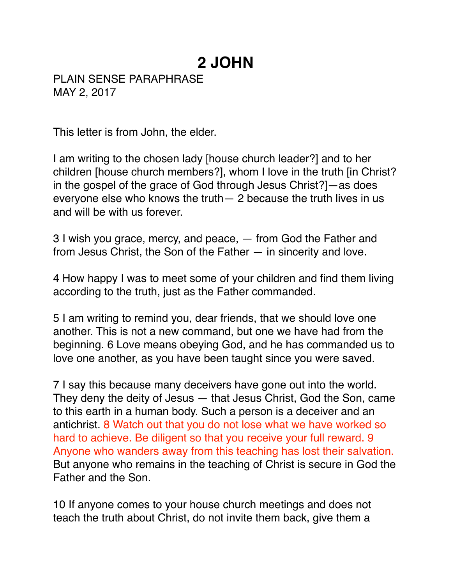## **2 JOHN**

PLAIN SENSE PARAPHRASE MAY 2, 2017

This letter is from John, the elder.

I am writing to the chosen lady [house church leader?] and to her children [house church members?], whom I love in the truth [in Christ? in the gospel of the grace of God through Jesus Christ?]—as does everyone else who knows the truth— 2 because the truth lives in us and will be with us forever.

3 I wish you grace, mercy, and peace, — from God the Father and from Jesus Christ, the Son of the Father — in sincerity and love.

4 How happy I was to meet some of your children and find them living according to the truth, just as the Father commanded.

5 I am writing to remind you, dear friends, that we should love one another. This is not a new command, but one we have had from the beginning. 6 Love means obeying God, and he has commanded us to love one another, as you have been taught since you were saved.

7 I say this because many deceivers have gone out into the world. They deny the deity of Jesus — that Jesus Christ, God the Son, came to this earth in a human body. Such a person is a deceiver and an antichrist. 8 Watch out that you do not lose what we have worked so hard to achieve. Be diligent so that you receive your full reward. 9 Anyone who wanders away from this teaching has lost their salvation. But anyone who remains in the teaching of Christ is secure in God the Father and the Son.

10 If anyone comes to your house church meetings and does not teach the truth about Christ, do not invite them back, give them a